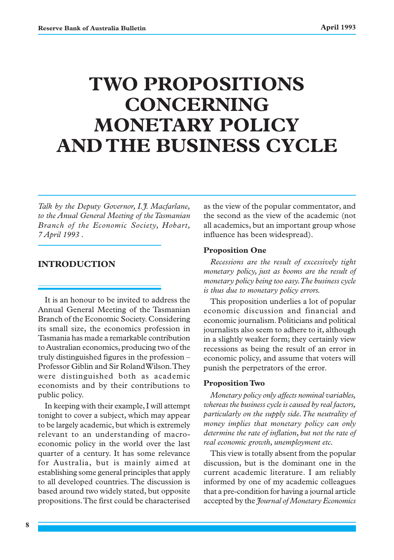# **TWO PROPOSITIONS CONCERNING MONETARY POLICY AND THE BUSINESS CYCLE**

*Talk by the Deputy Governor, I.J. Macfarlane, to the Anual General Meeting of the Tasmanian Branch of the Economic Society, Hobart, 7 April 1993 .*

#### **INTRODUCTION**

It is an honour to be invited to address the Annual General Meeting of the Tasmanian Branch of the Economic Society. Considering its small size, the economics profession in Tasmania has made a remarkable contribution to Australian economics, producing two of the truly distinguished figures in the profession – Professor Giblin and Sir Roland Wilson. They were distinguished both as academic economists and by their contributions to public policy.

In keeping with their example, I will attempt tonight to cover a subject, which may appear to be largely academic, but which is extremely relevant to an understanding of macroeconomic policy in the world over the last quarter of a century. It has some relevance for Australia, but is mainly aimed at establishing some general principles that apply to all developed countries. The discussion is based around two widely stated, but opposite propositions. The first could be characterised as the view of the popular commentator, and the second as the view of the academic (not all academics, but an important group whose influence has been widespread).

#### **Proposition One**

*Recessions are the result of excessively tight monetary policy, just as booms are the result of monetary policy being too easy. The business cycle is thus due to monetary policy errors.*

This proposition underlies a lot of popular economic discussion and financial and economic journalism. Politicians and political journalists also seem to adhere to it, although in a slightly weaker form; they certainly view recessions as being the result of an error in economic policy, and assume that voters will punish the perpetrators of the error.

#### **Proposition Two**

*Monetary policy only affects nominal variables, whereas the business cycle is caused by real factors, particularly on the supply side. The neutrality of money implies that monetary policy can only determine the rate of inflation, but not the rate of real economic growth, unemployment etc.*

This view is totally absent from the popular discussion, but is the dominant one in the current academic literature. I am reliably informed by one of my academic colleagues that a pre-condition for having a journal article accepted by the *Journal of Monetary Economics*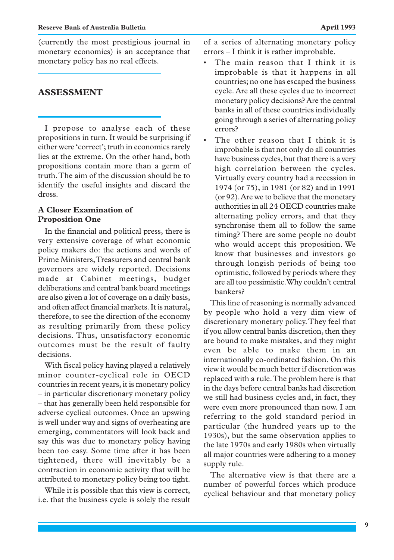(currently the most prestigious journal in monetary economics) is an acceptance that monetary policy has no real effects.

# **ASSESSMENT**

I propose to analyse each of these propositions in turn. It would be surprising if either were 'correct'; truth in economics rarely lies at the extreme. On the other hand, both propositions contain more than a germ of truth. The aim of the discussion should be to identify the useful insights and discard the dross.

## **A Closer Examination of Proposition One**

In the financial and political press, there is very extensive coverage of what economic policy makers do: the actions and words of Prime Ministers, Treasurers and central bank governors are widely reported. Decisions made at Cabinet meetings, budget deliberations and central bank board meetings are also given a lot of coverage on a daily basis, and often affect financial markets. It is natural, therefore, to see the direction of the economy as resulting primarily from these policy decisions. Thus, unsatisfactory economic outcomes must be the result of faulty decisions.

With fiscal policy having played a relatively minor counter-cyclical role in OECD countries in recent years, it is monetary policy – in particular discretionary monetary policy – that has generally been held responsible for adverse cyclical outcomes. Once an upswing is well under way and signs of overheating are emerging, commentators will look back and say this was due to monetary policy having been too easy. Some time after it has been tightened, there will inevitably be a contraction in economic activity that will be attributed to monetary policy being too tight.

While it is possible that this view is correct, i.e. that the business cycle is solely the result of a series of alternating monetary policy errors – I think it is rather improbable.

- The main reason that I think it is improbable is that it happens in all countries; no one has escaped the business cycle. Are all these cycles due to incorrect monetary policy decisions? Are the central banks in all of these countries individually going through a series of alternating policy errors?
- The other reason that I think it is improbable is that not only do all countries have business cycles, but that there is a very high correlation between the cycles. Virtually every country had a recession in 1974 (or 75), in 1981 (or 82) and in 1991 (or 92). Are we to believe that the monetary authorities in all 24 OECD countries make alternating policy errors, and that they synchronise them all to follow the same timing? There are some people no doubt who would accept this proposition. We know that businesses and investors go through longish periods of being too optimistic, followed by periods where they are all too pessimistic. Why couldn't central bankers?

This line of reasoning is normally advanced by people who hold a very dim view of discretionary monetary policy. They feel that if you allow central banks discretion, then they are bound to make mistakes, and they might even be able to make them in an internationally co-ordinated fashion. On this view it would be much better if discretion was replaced with a rule. The problem here is that in the days before central banks had discretion we still had business cycles and, in fact, they were even more pronounced than now. I am referring to the gold standard period in particular (the hundred years up to the 1930s), but the same observation applies to the late 1970s and early 1980s when virtually all major countries were adhering to a money supply rule.

The alternative view is that there are a number of powerful forces which produce cyclical behaviour and that monetary policy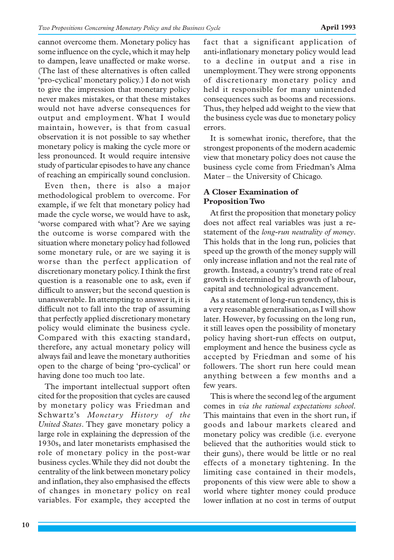cannot overcome them. Monetary policy has some influence on the cycle, which it may help to dampen, leave unaffected or make worse. (The last of these alternatives is often called 'pro-cyclical' monetary policy.) I do not wish to give the impression that monetary policy never makes mistakes, or that these mistakes would not have adverse consequences for output and employment. What I would maintain, however, is that from casual observation it is not possible to say whether monetary policy is making the cycle more or less pronounced. It would require intensive study of particular episodes to have any chance of reaching an empirically sound conclusion.

Even then, there is also a major methodological problem to overcome. For example, if we felt that monetary policy had made the cycle worse, we would have to ask, 'worse compared with what'? Are we saying the outcome is worse compared with the situation where monetary policy had followed some monetary rule, or are we saying it is worse than the perfect application of discretionary monetary policy. I think the first question is a reasonable one to ask, even if difficult to answer; but the second question is unanswerable. In attempting to answer it, it is difficult not to fall into the trap of assuming that perfectly applied discretionary monetary policy would eliminate the business cycle. Compared with this exacting standard, therefore, any actual monetary policy will always fail and leave the monetary authorities open to the charge of being 'pro-cyclical' or having done too much too late.

The important intellectual support often cited for the proposition that cycles are caused by monetary policy was Friedman and Schwartz's *Monetary History of the United States*. They gave monetary policy a large role in explaining the depression of the 1930s, and later monetarists emphasised the role of monetary policy in the post-war business cycles. While they did not doubt the centrality of the link between monetary policy and inflation, they also emphasised the effects of changes in monetary policy on real variables. For example, they accepted the fact that a significant application of anti-inflationary monetary policy would lead to a decline in output and a rise in unemployment. They were strong opponents of discretionary monetary policy and held it responsible for many unintended consequences such as booms and recessions. Thus, they helped add weight to the view that the business cycle was due to monetary policy errors.

It is somewhat ironic, therefore, that the strongest proponents of the modern academic view that monetary policy does not cause the business cycle come from Friedman's Alma Mater – the University of Chicago.

## **A Closer Examination of Proposition Two**

At first the proposition that monetary policy does not affect real variables was just a restatement of the *long-run neutrality of money*. This holds that in the long run, policies that speed up the growth of the money supply will only increase inflation and not the real rate of growth. Instead, a country's trend rate of real growth is determined by its growth of labour, capital and technological advancement.

As a statement of long-run tendency, this is a very reasonable generalisation, as I will show later. However, by focussing on the long run, it still leaves open the possibility of monetary policy having short-run effects on output, employment and hence the business cycle as accepted by Friedman and some of his followers. The short run here could mean anything between a few months and a few years.

This is where the second leg of the argument comes in *via the rational expectations school*. This maintains that even in the short run, if goods and labour markets cleared and monetary policy was credible (i.e. everyone believed that the authorities would stick to their guns), there would be little or no real effects of a monetary tightening. In the limiting case contained in their models, proponents of this view were able to show a world where tighter money could produce lower inflation at no cost in terms of output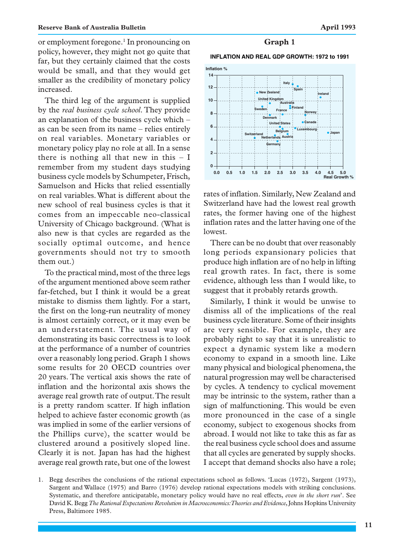or employment foregone.<sup>1</sup> In pronouncing on policy, however, they might not go quite that far, but they certainly claimed that the costs would be small, and that they would get smaller as the credibility of monetary policy increased.

The third leg of the argument is supplied by the *real business cycle school*. They provide an explanation of the business cycle which – as can be seen from its name – relies entirely on real variables. Monetary variables or monetary policy play no role at all. In a sense there is nothing all that new in this  $- I$ remember from my student days studying business cycle models by Schumpeter, Frisch, Samuelson and Hicks that relied essentially on real variables. What is different about the new school of real business cycles is that it comes from an impeccable neo-classical University of Chicago background. (What is also new is that cycles are regarded as the socially optimal outcome, and hence governments should not try to smooth them out.)

To the practical mind, most of the three legs of the argument mentioned above seem rather far-fetched, but I think it would be a great mistake to dismiss them lightly. For a start, the first on the long-run neutrality of money is almost certainly correct, or it may even be an understatement. The usual way of demonstrating its basic correctness is to look at the performance of a number of countries over a reasonably long period. Graph 1 shows some results for 20 OECD countries over 20 years. The vertical axis shows the rate of inflation and the horizontal axis shows the average real growth rate of output. The result is a pretty random scatter. If high inflation helped to achieve faster economic growth (as was implied in some of the earlier versions of the Phillips curve), the scatter would be clustered around a positively sloped line. Clearly it is not. Japan has had the highest average real growth rate, but one of the lowest

#### **Graph 1**

**INFLATION AND REAL GDP GROWTH: 1972 to 1991**



rates of inflation. Similarly, New Zealand and Switzerland have had the lowest real growth rates, the former having one of the highest inflation rates and the latter having one of the lowest.

There can be no doubt that over reasonably long periods expansionary policies that produce high inflation are of no help in lifting real growth rates. In fact, there is some evidence, although less than I would like, to suggest that it probably retards growth.

Similarly, I think it would be unwise to dismiss all of the implications of the real business cycle literature. Some of their insights are very sensible. For example, they are probably right to say that it is unrealistic to expect a dynamic system like a modern economy to expand in a smooth line. Like many physical and biological phenomena, the natural progression may well be characterised by cycles. A tendency to cyclical movement may be intrinsic to the system, rather than a sign of malfunctioning. This would be even more pronounced in the case of a single economy, subject to exogenous shocks from abroad. I would not like to take this as far as the real business cycle school does and assume that all cycles are generated by supply shocks. I accept that demand shocks also have a role;

1. Begg describes the conclusions of the rational expectations school as follows. 'Lucas (1972), Sargent (1973), Sargent and Wallace (1975) and Barro (1976) develop rational expectations models with striking conclusions. Systematic, and therefore anticipatable, monetary policy would have no real effects, *even in the short run*'. See David K. Begg *The Rational Expectations Revolution in Macroeconomics: Theories and Evidence*, Johns Hopkins University Press, Baltimore 1985.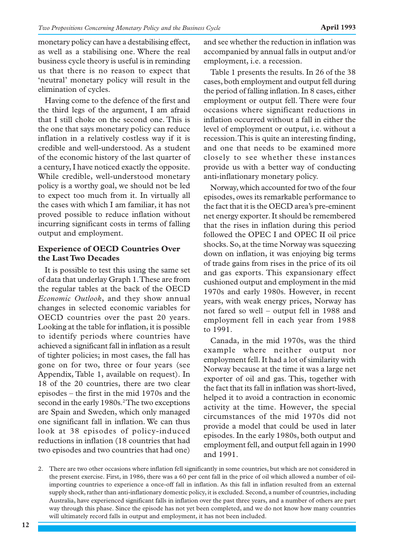monetary policy can have a destabilising effect, as well as a stabilising one. Where the real business cycle theory is useful is in reminding us that there is no reason to expect that 'neutral' monetary policy will result in the elimination of cycles.

Having come to the defence of the first and the third legs of the argument, I am afraid that I still choke on the second one. This is the one that says monetary policy can reduce inflation in a relatively costless way if it is credible and well-understood. As a student of the economic history of the last quarter of a century, I have noticed exactly the opposite. While credible, well-understood monetary policy is a worthy goal, we should not be led to expect too much from it. In virtually all the cases with which I am familiar, it has not proved possible to reduce inflation without incurring significant costs in terms of falling output and employment.

# **Experience of OECD Countries Over the Last Two Decades**

It is possible to test this using the same set of data that underlay Graph 1. These are from the regular tables at the back of the OECD *Economic Outlook*, and they show annual changes in selected economic variables for OECD countries over the past 20 years. Looking at the table for inflation, it is possible to identify periods where countries have achieved a significant fall in inflation as a result of tighter policies; in most cases, the fall has gone on for two, three or four years (see Appendix, Table 1, available on request). In 18 of the 20 countries, there are two clear episodes – the first in the mid 1970s and the second in the early 1980s.<sup>2</sup>The two exceptions are Spain and Sweden, which only managed one significant fall in inflation. We can thus look at 38 episodes of policy-induced reductions in inflation (18 countries that had two episodes and two countries that had one)

and see whether the reduction in inflation was accompanied by annual falls in output and/or employment, i.e. a recession.

Table 1 presents the results. In 26 of the 38 cases, both employment and output fell during the period of falling inflation. In 8 cases, either employment or output fell. There were four occasions where significant reductions in inflation occurred without a fall in either the level of employment or output, i.e. without a recession. This is quite an interesting finding, and one that needs to be examined more closely to see whether these instances provide us with a better way of conducting anti-inflationary monetary policy.

Norway, which accounted for two of the four episodes, owes its remarkable performance to the fact that it is the OECD area's pre-eminent net energy exporter. It should be remembered that the rises in inflation during this period followed the OPEC I and OPEC II oil price shocks. So, at the time Norway was squeezing down on inflation, it was enjoying big terms of trade gains from rises in the price of its oil and gas exports. This expansionary effect cushioned output and employment in the mid 1970s and early 1980s. However, in recent years, with weak energy prices, Norway has not fared so well – output fell in 1988 and employment fell in each year from 1988 to 1991.

Canada, in the mid 1970s, was the third example where neither output nor employment fell. It had a lot of similarity with Norway because at the time it was a large net exporter of oil and gas. This, together with the fact that its fall in inflation was short-lived, helped it to avoid a contraction in economic activity at the time. However, the special circumstances of the mid 1970s did not provide a model that could be used in later episodes. In the early 1980s, both output and employment fell, and output fell again in 1990 and 1991.

<sup>2.</sup> There are two other occasions where inflation fell significantly in some countries, but which are not considered in the present exercise. First, in 1986, there was a 60 per cent fall in the price of oil which allowed a number of oilimporting countries to experience a once-off fall in inflation. As this fall in inflation resulted from an external supply shock, rather than anti-inflationary domestic policy, it is excluded. Second, a number of countries, including Australia, have experienced significant falls in inflation over the past three years, and a number of others are part way through this phase. Since the episode has not yet been completed, and we do not know how many countries will ultimately record falls in output and employment, it has not been included.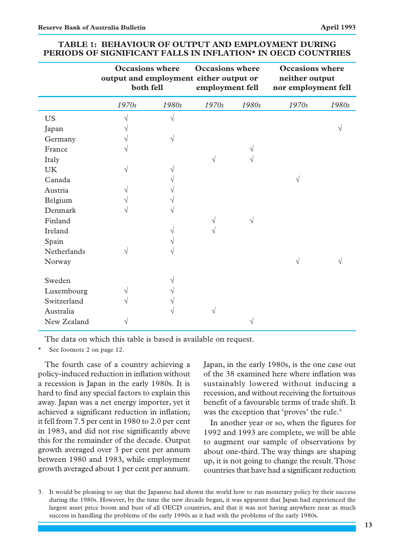|                    | <b>Occasions</b> where<br>output and employment either output or<br>both fell |           | <b>Occasions</b> where<br>employment fell |       | <b>Occasions</b> where<br>neither output<br>nor employment fell |       |
|--------------------|-------------------------------------------------------------------------------|-----------|-------------------------------------------|-------|-----------------------------------------------------------------|-------|
|                    | 1970s                                                                         | 1980s     | 1970s                                     | 1980s | 1970s                                                           | 1980s |
| <b>US</b>          | V                                                                             | $\sqrt{}$ |                                           |       |                                                                 |       |
| Japan              |                                                                               |           |                                           |       |                                                                 |       |
| Germany            | V                                                                             | V         |                                           |       |                                                                 |       |
| France             | V                                                                             |           |                                           | V     |                                                                 |       |
| Italy              |                                                                               |           | V                                         | V     |                                                                 |       |
| <b>UK</b>          | V                                                                             |           |                                           |       |                                                                 |       |
| Canada             |                                                                               |           |                                           |       | V                                                               |       |
| Austria            | V                                                                             |           |                                           |       |                                                                 |       |
| Belgium            | V                                                                             |           |                                           |       |                                                                 |       |
| Denmark            | ٦                                                                             |           |                                           |       |                                                                 |       |
| Finland            |                                                                               |           |                                           | V     |                                                                 |       |
| Ireland            |                                                                               |           |                                           |       |                                                                 |       |
| Spain              |                                                                               |           |                                           |       |                                                                 |       |
| <b>Netherlands</b> | V                                                                             |           |                                           |       |                                                                 |       |
| Norway             |                                                                               |           |                                           |       |                                                                 |       |
| Sweden             |                                                                               |           |                                           |       |                                                                 |       |
| Luxembourg         | V                                                                             |           |                                           |       |                                                                 |       |
| Switzerland        | V                                                                             |           |                                           |       |                                                                 |       |
| Australia          |                                                                               |           |                                           |       |                                                                 |       |
| New Zealand        |                                                                               |           |                                           |       |                                                                 |       |

#### **TABLE 1: BEHAVIOUR OF OUTPUT AND EMPLOYMENT DURING PERIODS OF SIGNIFICANT FALLS IN INFLATION\* IN OECD COUNTRIES**

The data on which this table is based is available on request.

See footnote 2 on page 12.

The fourth case of a country achieving a policy-induced reduction in inflation without a recession is Japan in the early 1980s. It is hard to find any special factors to explain this away. Japan was a net energy importer, yet it achieved a significant reduction in inflation; it fell from 7.5 per cent in 1980 to 2.0 per cent in 1983, and did not rise significantly above this for the remainder of the decade. Output growth averaged over 3 per cent per annum between 1980 and 1983, while employment growth averaged about 1 per cent per annum. Japan, in the early 1980s, is the one case out of the 38 examined here where inflation was sustainably lowered without inducing a recession, and without receiving the fortuitous benefit of a favourable terms of trade shift. It was the exception that 'proves' the rule.<sup>3</sup>

In another year or so, when the figures for 1992 and 1993 are complete, we will be able to augment our sample of observations by about one-third. The way things are shaping up, it is not going to change the result. Those countries that have had a significant reduction

3. It would be pleasing to say that the Japanese had shown the world how to run monetary policy by their success during the 1980s. However, by the time the new decade began, it was apparent that Japan had experienced the largest asset price boom and bust of all OECD countries, and that it was not having anywhere near as much success in handling the problems of the early 1990s as it had with the problems of the early 1980s.